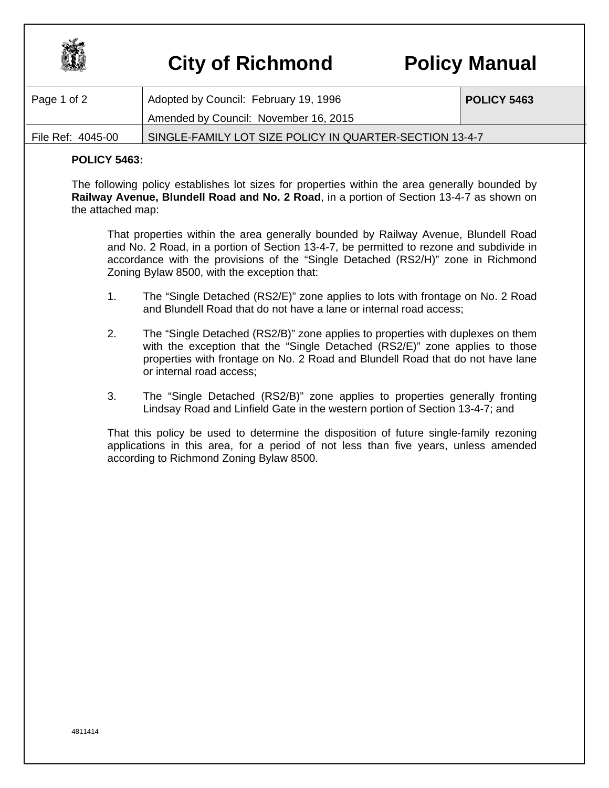

## **City of Richmond Policy Manual**

| Page 1 of 2       | Adopted by Council: February 19, 1996                   | <b>POLICY 5463</b> |
|-------------------|---------------------------------------------------------|--------------------|
|                   | Amended by Council: November 16, 2015                   |                    |
| File Ref: 4045-00 | SINGLE-FAMILY LOT SIZE POLICY IN QUARTER-SECTION 13-4-7 |                    |

## **POLICY 5463:**

The following policy establishes lot sizes for properties within the area generally bounded by **Railway Avenue, Blundell Road and No. 2 Road**, in a portion of Section 13-4-7 as shown on the attached map:

That properties within the area generally bounded by Railway Avenue, Blundell Road and No. 2 Road, in a portion of Section 13-4-7, be permitted to rezone and subdivide in accordance with the provisions of the "Single Detached (RS2/H)" zone in Richmond Zoning Bylaw 8500, with the exception that:

- 1. The "Single Detached (RS2/E)" zone applies to lots with frontage on No. 2 Road and Blundell Road that do not have a lane or internal road access;
- 2. The "Single Detached (RS2/B)" zone applies to properties with duplexes on them with the exception that the "Single Detached (RS2/E)" zone applies to those properties with frontage on No. 2 Road and Blundell Road that do not have lane or internal road access;
- 3. The "Single Detached (RS2/B)" zone applies to properties generally fronting Lindsay Road and Linfield Gate in the western portion of Section 13-4-7; and

That this policy be used to determine the disposition of future single-family rezoning applications in this area, for a period of not less than five years, unless amended according to Richmond Zoning Bylaw 8500.